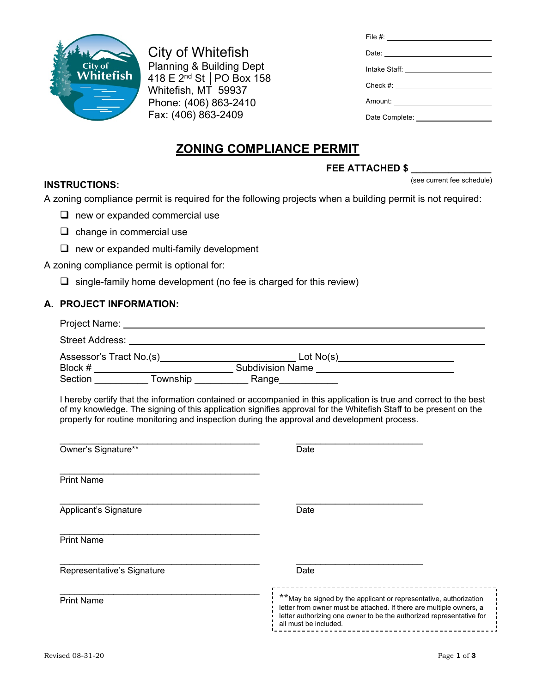

City of Whitefish Planning & Building Dept 418 E 2nd St │PO Box 158 Whitefish, MT 59937 Phone: (406) 863-2410 Fax: (406) 863-2409

|                                  | Date: _________________________________ |
|----------------------------------|-----------------------------------------|
|                                  | Intake Staff: _______________________   |
| Check #: _____________________   |                                         |
| Amount: ________________________ |                                         |
|                                  |                                         |
|                                  |                                         |

# **ZONING COMPLIANCE PERMIT**

## **FEE ATTACHED \$ \_\_\_\_\_\_\_\_\_\_\_\_\_\_\_**

#### **INSTRUCTIONS:**

(see current fee schedule)

A zoning compliance permit is required for the following projects when a building permit is not required:

- $\Box$  new or expanded commercial use
- $\Box$  change in commercial use
- $\Box$  new or expanded multi-family development

A zoning compliance permit is optional for:

 $\Box$  single-family home development (no fee is charged for this review)

### **A. PROJECT INFORMATION:**

|                         | Project Name: Name: Name and Service Control of the Manuscript of the Manuscript of the Manuscript of the Manuscript of the Manuscript of the Manuscript of the Manuscript of the Manuscript of the Manuscript of the Manuscri |                         |             |
|-------------------------|--------------------------------------------------------------------------------------------------------------------------------------------------------------------------------------------------------------------------------|-------------------------|-------------|
| <b>Street Address:</b>  |                                                                                                                                                                                                                                |                         |             |
| Assessor's Tract No.(s) |                                                                                                                                                                                                                                |                         | Lot $No(s)$ |
| Block #                 |                                                                                                                                                                                                                                | <b>Subdivision Name</b> |             |
| Section                 | Township                                                                                                                                                                                                                       | Range                   |             |

I hereby certify that the information contained or accompanied in this application is true and correct to the best of my knowledge. The signing of this application signifies approval for the Whitefish Staff to be present on the property for routine monitoring and inspection during the approval and development process.

| Owner's Signature**        | Date                                                                                                                                                                                                                                      |  |
|----------------------------|-------------------------------------------------------------------------------------------------------------------------------------------------------------------------------------------------------------------------------------------|--|
| <b>Print Name</b>          |                                                                                                                                                                                                                                           |  |
| Applicant's Signature      | Date                                                                                                                                                                                                                                      |  |
| <b>Print Name</b>          |                                                                                                                                                                                                                                           |  |
| Representative's Signature | Date                                                                                                                                                                                                                                      |  |
| <b>Print Name</b>          | **May be signed by the applicant or representative, authorization<br>letter from owner must be attached. If there are multiple owners, a<br>letter authorizing one owner to be the authorized representative for<br>all must be included. |  |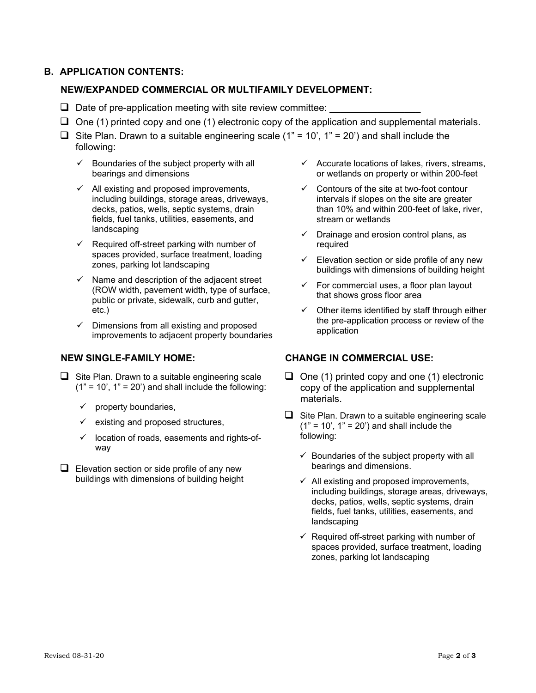### **B. APPLICATION CONTENTS:**

#### **NEW/EXPANDED COMMERCIAL OR MULTIFAMILY DEVELOPMENT:**

- $\Box$  Date of pre-application meeting with site review committee:
- $\Box$  One (1) printed copy and one (1) electronic copy of the application and supplemental materials.
- $\Box$  Site Plan. Drawn to a suitable engineering scale (1" = 10', 1" = 20') and shall include the following:
	- $\checkmark$  Boundaries of the subject property with all bearings and dimensions
	- $\checkmark$  All existing and proposed improvements, including buildings, storage areas, driveways, decks, patios, wells, septic systems, drain fields, fuel tanks, utilities, easements, and landscaping
	- $\checkmark$  Required off-street parking with number of spaces provided, surface treatment, loading zones, parking lot landscaping
	- Name and description of the adjacent street (ROW width, pavement width, type of surface, public or private, sidewalk, curb and gutter, etc.)
	- $\checkmark$  Dimensions from all existing and proposed improvements to adjacent property boundaries

- $\Box$  Site Plan. Drawn to a suitable engineering scale  $(1" = 10", 1" = 20')$  and shall include the following:
	- $\checkmark$  property boundaries,
	- $\checkmark$  existing and proposed structures,
	- $\checkmark$  location of roads, easements and rights-ofway
- $\Box$  Elevation section or side profile of any new buildings with dimensions of building height
- $\checkmark$  Accurate locations of lakes, rivers, streams, or wetlands on property or within 200-feet
- $\checkmark$  Contours of the site at two-foot contour intervals if slopes on the site are greater than 10% and within 200-feet of lake, river, stream or wetlands
- $\checkmark$  Drainage and erosion control plans, as required
- $\checkmark$  Elevation section or side profile of any new buildings with dimensions of building height
- $\checkmark$  For commercial uses, a floor plan layout that shows gross floor area
- $\checkmark$  Other items identified by staff through either the pre-application process or review of the application

# **NEW SINGLE-FAMILY HOME: CHANGE IN COMMERCIAL USE:**

- $\Box$  One (1) printed copy and one (1) electronic copy of the application and supplemental materials.
- $\Box$  Site Plan. Drawn to a suitable engineering scale  $(1" = 10', 1" = 20')$  and shall include the following:
	- $\checkmark$  Boundaries of the subject property with all bearings and dimensions.
	- $\checkmark$  All existing and proposed improvements, including buildings, storage areas, driveways, decks, patios, wells, septic systems, drain fields, fuel tanks, utilities, easements, and landscaping
	- $\checkmark$  Required off-street parking with number of spaces provided, surface treatment, loading zones, parking lot landscaping